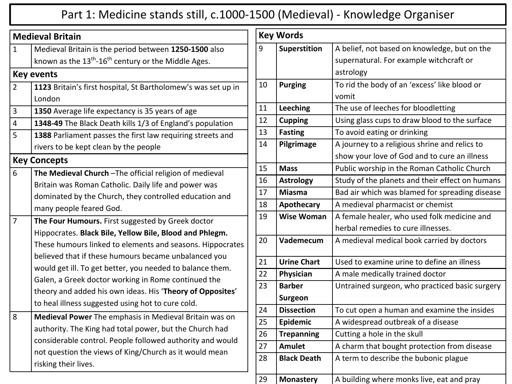## Part 1: Medicine stands still, c.1000-1500 (Medieval) - Knowledge Organiser

|                | <b>Medieval Britain</b>                                           |
|----------------|-------------------------------------------------------------------|
| $\mathbf{1}$   | Medieval Britain is the period between 1250-1500 also             |
|                | known as the $13th$ -16 <sup>th</sup> century or the Middle Ages. |
|                | <b>Key events</b>                                                 |
| $\overline{2}$ | 1123 Britain's first hospital, St Bartholomew's was set up in     |
|                | London                                                            |
| 3              | 1350 Average life expectancy is 35 years of age                   |
| $\overline{4}$ | 1348-49 The Black Death kills 1/3 of England's population         |
| 5              | 1388 Parliament passes the first law requiring streets and        |
|                | rivers to be kept clean by the people                             |
|                | <b>Key Concepts</b>                                               |
| 6              | The Medieval Church-The official religion of medieval             |
|                | Britain was Roman Catholic. Daily life and power was              |
|                | dominated by the Church, they controlled education and            |
|                | many people feared God.                                           |
| $\overline{7}$ | The Four Humours. First suggested by Greek doctor                 |
|                | Hippocrates. Black Bile, Yellow Bile, Blood and Phlegm.           |
|                | These humours linked to elements and seasons. Hippocrates         |
|                | believed that if these humours became unbalanced you              |
|                | would get ill. To get better, you needed to balance them.         |
|                | Galen, a Greek doctor working in Rome continued the               |
|                | theory and added his own ideas. His 'Theory of Opposites'         |
|                | to heal illness suggested using hot to cure cold.                 |
| 8              | Medieval Power The emphasis in Medieval Britain was on            |
|                | authority. The King had total power, but the Church had           |
|                | considerable control. People followed authority and would         |
|                | not question the views of King/Church as it would mean            |
|                | risking their lives.                                              |

| <b>Key Words</b> |                     |                                                 |
|------------------|---------------------|-------------------------------------------------|
| 9                | <b>Superstition</b> | A belief, not based on knowledge, but on the    |
|                  |                     | supernatural. For example witchcraft or         |
|                  |                     | astrology                                       |
| 10               | <b>Purging</b>      | To rid the body of an 'excess' like blood or    |
|                  |                     | vomit                                           |
| 11               | <b>Leeching</b>     | The use of leeches for bloodletting             |
| 12               | <b>Cupping</b>      | Using glass cups to draw blood to the surface   |
| 13               | <b>Fasting</b>      | To avoid eating or drinking                     |
| 14               | Pilgrimage          | A journey to a religious shrine and relics to   |
|                  |                     | show your love of God and to cure an illness    |
| 15               | <b>Mass</b>         | Public worship in the Roman Catholic Church     |
| 16               | <b>Astrology</b>    | Study of the planets and their effect on humans |
| 17               | <b>Miasma</b>       | Bad air which was blamed for spreading disease  |
| 18               | Apothecary          | A medieval pharmacist or chemist                |
| 19               | <b>Wise Woman</b>   | A female healer, who used folk medicine and     |
|                  |                     | herbal remedies to cure illnesses.              |
| 20               | Vademecum           | A medieval medical book carried by doctors      |
| 21               | <b>Urine Chart</b>  | Used to examine urine to define an illness      |
| 22               | Physician           | A male medically trained doctor                 |
| 23               | <b>Barber</b>       | Untrained surgeon, who practiced basic surgery  |
|                  | <b>Surgeon</b>      |                                                 |
| 24               | <b>Dissection</b>   | To cut open a human and examine the insides     |
| 25               | Epidemic            | A widespread outbreak of a disease              |
| 26               | <b>Trepanning</b>   | Cutting a hole in the skull                     |
| 27               | <b>Amulet</b>       | A charm that bought protection from disease     |
| 28               | <b>Black Death</b>  | A term to describe the bubonic plague           |
| 29               | <b>Monastery</b>    | A building where monks live, eat and pray       |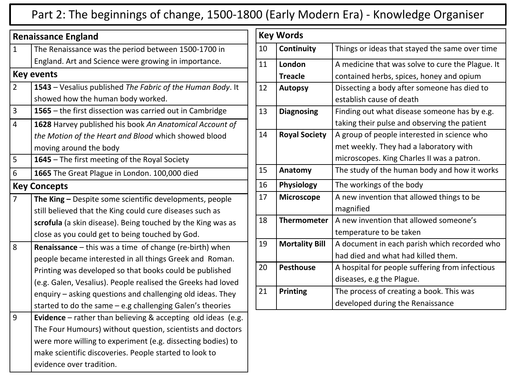## Part 2: The beginnings of change, 1500-1800 (Early Modern Era) - Knowledge Organiser

| <b>Renaissance England</b> |                                                                        |  |  |
|----------------------------|------------------------------------------------------------------------|--|--|
| $\mathbf{1}$               | The Renaissance was the period between 1500-1700 in                    |  |  |
|                            | England. Art and Science were growing in importance.                   |  |  |
|                            | <b>Key events</b>                                                      |  |  |
| $\overline{2}$             | 1543 - Vesalius published The Fabric of the Human Body. It             |  |  |
|                            | showed how the human body worked.                                      |  |  |
| 3                          | 1565 - the first dissection was carried out in Cambridge               |  |  |
| $\overline{4}$             | 1628 Harvey published his book An Anatomical Account of                |  |  |
|                            | the Motion of the Heart and Blood which showed blood                   |  |  |
|                            | moving around the body                                                 |  |  |
| 5                          | 1645 - The first meeting of the Royal Society                          |  |  |
| 6                          | 1665 The Great Plague in London. 100,000 died                          |  |  |
| <b>Key Concepts</b>        |                                                                        |  |  |
| 7                          | The King $-$ Despite some scientific developments, people              |  |  |
|                            | still believed that the King could cure diseases such as               |  |  |
|                            | scrofula (a skin disease). Being touched by the King was as            |  |  |
|                            | close as you could get to being touched by God.                        |  |  |
| 8                          | Renaissance - this was a time of change (re-birth) when                |  |  |
|                            | people became interested in all things Greek and Roman.                |  |  |
|                            | Printing was developed so that books could be published                |  |  |
|                            | (e.g. Galen, Vesalius). People realised the Greeks had loved           |  |  |
|                            | enquiry - asking questions and challenging old ideas. They             |  |  |
|                            | started to do the same $-e.g.$ challenging Galen's theories            |  |  |
| 9                          | <b>Evidence</b> – rather than believing $\&$ accepting old ideas (e.g. |  |  |
|                            | The Four Humours) without question, scientists and doctors             |  |  |
|                            | were more willing to experiment (e.g. dissecting bodies) to            |  |  |
|                            | make scientific discoveries. People started to look to                 |  |  |
|                            | evidence over tradition.                                               |  |  |

|    | <b>Key Words</b>      |                                                  |  |
|----|-----------------------|--------------------------------------------------|--|
| 10 | Continuity            | Things or ideas that stayed the same over time   |  |
| 11 | London                | A medicine that was solve to cure the Plague. It |  |
|    | <b>Treacle</b>        | contained herbs, spices, honey and opium         |  |
| 12 | <b>Autopsy</b>        | Dissecting a body after someone has died to      |  |
|    |                       | establish cause of death                         |  |
| 13 | <b>Diagnosing</b>     | Finding out what disease someone has by e.g.     |  |
|    |                       | taking their pulse and observing the patient     |  |
| 14 | <b>Royal Society</b>  | A group of people interested in science who      |  |
|    |                       | met weekly. They had a laboratory with           |  |
|    |                       | microscopes. King Charles II was a patron.       |  |
| 15 | Anatomy               | The study of the human body and how it works     |  |
| 16 | Physiology            | The workings of the body                         |  |
| 17 | <b>Microscope</b>     | A new invention that allowed things to be        |  |
|    |                       | magnified                                        |  |
| 18 | <b>Thermometer</b>    | A new invention that allowed someone's           |  |
|    |                       | temperature to be taken                          |  |
| 19 | <b>Mortality Bill</b> | A document in each parish which recorded who     |  |
|    |                       | had died and what had killed them.               |  |
| 20 | <b>Pesthouse</b>      | A hospital for people suffering from infectious  |  |
|    |                       | diseases, e.g the Plague.                        |  |
| 21 | <b>Printing</b>       | The process of creating a book. This was         |  |
|    |                       | developed during the Renaissance                 |  |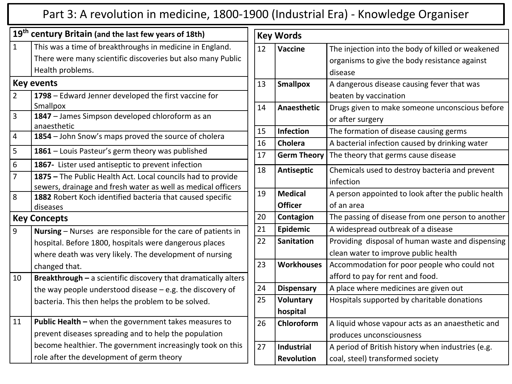## Part 3: A revolution in medicine, 1800-1900 (Industrial Era) - Knowledge Organiser

|                | 19 <sup>th</sup> century Britain (and the last few years of 18th)                                                                                                                                                                |  |  |
|----------------|----------------------------------------------------------------------------------------------------------------------------------------------------------------------------------------------------------------------------------|--|--|
| $\mathbf{1}$   | This was a time of breakthroughs in medicine in England.                                                                                                                                                                         |  |  |
|                | There were many scientific discoveries but also many Public                                                                                                                                                                      |  |  |
|                | Health problems.                                                                                                                                                                                                                 |  |  |
|                | <b>Key events</b>                                                                                                                                                                                                                |  |  |
| $\overline{2}$ | 1798 - Edward Jenner developed the first vaccine for<br>Smallpox                                                                                                                                                                 |  |  |
| 3              | 1847 - James Simpson developed chloroform as an<br>anaesthetic                                                                                                                                                                   |  |  |
| 4              | 1854 - John Snow's maps proved the source of cholera                                                                                                                                                                             |  |  |
| 5              | 1861 - Louis Pasteur's germ theory was published                                                                                                                                                                                 |  |  |
| 6              | 1867- Lister used antiseptic to prevent infection                                                                                                                                                                                |  |  |
| 7              | 1875 - The Public Health Act. Local councils had to provide<br>sewers, drainage and fresh water as well as medical officers                                                                                                      |  |  |
| 8              | 1882 Robert Koch identified bacteria that caused specific<br>diseases                                                                                                                                                            |  |  |
|                | <b>Key Concepts</b>                                                                                                                                                                                                              |  |  |
| 9              | Nursing - Nurses are responsible for the care of patients in<br>hospital. Before 1800, hospitals were dangerous places<br>where death was very likely. The development of nursing<br>changed that.                               |  |  |
| 10             | <b>Breakthrough <math>-</math></b> a scientific discovery that dramatically alters<br>the way people understood disease $-e.g.$ the discovery of<br>bacteria. This then helps the problem to be solved.                          |  |  |
| 11             | <b>Public Health - when the government takes measures to</b><br>prevent diseases spreading and to help the population<br>become healthier. The government increasingly took on this<br>role after the development of germ theory |  |  |

|    | <b>Key Words</b>   |                                                    |  |
|----|--------------------|----------------------------------------------------|--|
| 12 | Vaccine            | The injection into the body of killed or weakened  |  |
|    |                    | organisms to give the body resistance against      |  |
|    |                    | disease                                            |  |
| 13 | <b>Smallpox</b>    | A dangerous disease causing fever that was         |  |
|    |                    | beaten by vaccination                              |  |
| 14 | Anaesthetic        | Drugs given to make someone unconscious before     |  |
|    |                    | or after surgery                                   |  |
| 15 | <b>Infection</b>   | The formation of disease causing germs             |  |
| 16 | Cholera            | A bacterial infection caused by drinking water     |  |
| 17 | <b>Germ Theory</b> | The theory that germs cause disease                |  |
| 18 | <b>Antiseptic</b>  | Chemicals used to destroy bacteria and prevent     |  |
|    |                    | infection                                          |  |
| 19 | <b>Medical</b>     | A person appointed to look after the public health |  |
|    | <b>Officer</b>     | of an area                                         |  |
| 20 | Contagion          | The passing of disease from one person to another  |  |
| 21 | Epidemic           | A widespread outbreak of a disease                 |  |
| 22 | <b>Sanitation</b>  | Providing disposal of human waste and dispensing   |  |
|    |                    | clean water to improve public health               |  |
| 23 | <b>Workhouses</b>  | Accommodation for poor people who could not        |  |
|    |                    | afford to pay for rent and food.                   |  |
| 24 | <b>Dispensary</b>  | A place where medicines are given out              |  |
| 25 | <b>Voluntary</b>   | Hospitals supported by charitable donations        |  |
|    | hospital           |                                                    |  |
| 26 | Chloroform         | A liquid whose vapour acts as an anaesthetic and   |  |
|    |                    | produces unconsciousness                           |  |
| 27 | <b>Industrial</b>  | A period of British history when industries (e.g.  |  |
|    | <b>Revolution</b>  | coal, steel) transformed society                   |  |